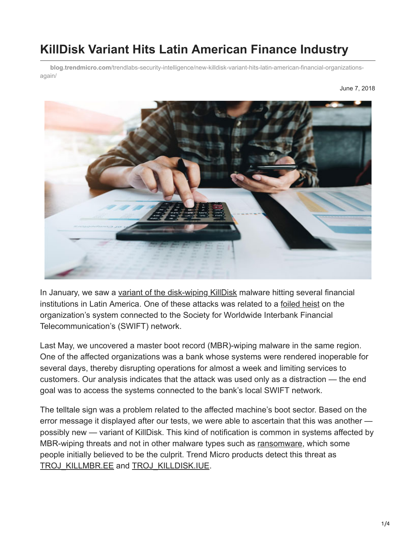# **KillDisk Variant Hits Latin American Finance Industry**

**blog.trendmicro.com**[/trendlabs-security-intelligence/new-killdisk-variant-hits-latin-american-financial-organizations](https://blog.trendmicro.com/trendlabs-security-intelligence/new-killdisk-variant-hits-latin-american-financial-organizations-again/)again/



In January, we saw a [variant of the disk-wiping KillDisk](https://blog.trendmicro.com/en_us/research/18/a/new-killdisk-variant-hits-financial-organizations-in-latin-america.html) malware hitting several financial institutions in Latin America. One of these attacks was related to a [foiled heist](https://www.bloomberg.com/news/articles/2018-05-29/mexico-foiled-a-110-million-bank-heist-then-kept-it-a-secret) on the organization's system connected to the Society for Worldwide Interbank Financial Telecommunication's (SWIFT) network.

Last May, we uncovered a master boot record (MBR)-wiping malware in the same region. One of the affected organizations was a bank whose systems were rendered inoperable for several days, thereby disrupting operations for almost a week and limiting services to customers. Our analysis indicates that the attack was used only as a distraction — the end goal was to access the systems connected to the bank's local SWIFT network.

The telltale sign was a problem related to the affected machine's boot sector. Based on the error message it displayed after our tests, we were able to ascertain that this was another possibly new — variant of KillDisk. This kind of notification is common in systems affected by MBR-wiping threats and not in other malware types such as [ransomware,](https://www.trendmicro.com/vinfo/tmr/?/us/security/definition/ransomware) which some people initially believed to be the culprit. Trend Micro products detect this threat as [TROJ\\_KILLMBR.EE](https://www.trendmicro.com/vinfo/tmr/?/us/threat-encyclopedia/malware/TROJ_KILLMBR.EE) and [TROJ\\_KILLDISK.IUE](https://www.trendmicro.com/vinfo/tmr/?/us/threat-encyclopedia/malware/TROJ_KILLDISK.IUE).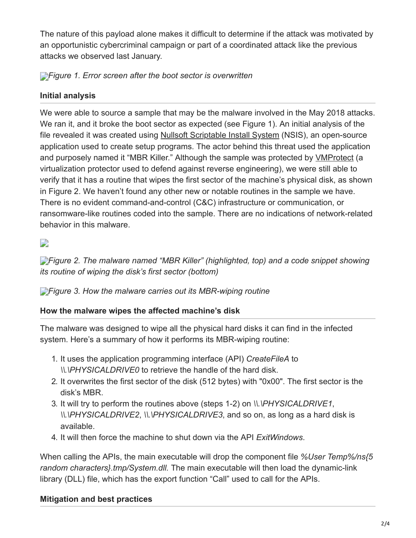The nature of this payload alone makes it difficult to determine if the attack was motivated by an opportunistic cybercriminal campaign or part of a coordinated attack like the previous attacks we observed last January.

*[F](https://blog.trendmicro.com/content/dam/trendmicro/global/en/migrated/security-intelligence-migration-spreadsheet/trendlabs-security-intelligence/2018/06/mbr-killdisk-latin-america-1.png)igure 1. Error screen after the boot sector is overwritten*

## **Initial analysis**

We were able to source a sample that may be the malware involved in the May 2018 attacks. We ran it, and it broke the boot sector as expected (see Figure 1). An initial analysis of the file revealed it was created using [Nullsoft Scriptable Install System](http://nsis.sourceforge.net/License) (NSIS), an open-source application used to create setup programs. The actor behind this threat used the application and purposely named it "MBR Killer." Although the sample was protected by [VMProtect](http://vmpsoft.com/) (a virtualization protector used to defend against reverse engineering), we were still able to verify that it has a routine that wipes the first sector of the machine's physical disk, as shown in Figure 2. We haven't found any other new or notable routines in the sample we have. There is no evident command-and-control (C&C) infrastructure or communication, or ransomware-like routines coded into the sample. There are no indications of network-related behavior in this malware.

 $\overline{\phantom{a}}$ 

*[F](https://blog.trendmicro.com/content/dam/trendmicro/global/en/migrated/security-intelligence-migration-spreadsheet/trendlabs-security-intelligence/2018/06/mbr-killdisk-latin-america-2-2.png)igure 2. The malware named "MBR Killer" (highlighted, top) and a code snippet showing its routine of wiping the disk's first sector (bottom)*

*[F](https://blog.trendmicro.com/content/dam/trendmicro/global/en/migrated/security-intelligence-migration-spreadsheet/trendlabs-security-intelligence/2018/06/mbr-killdisk-latin-america-3.jpg)igure 3. How the malware carries out its MBR-wiping routine*

### **How the malware wipes the affected machine's disk**

The malware was designed to wipe all the physical hard disks it can find in the infected system. Here's a summary of how it performs its MBR-wiping routine:

- 1. It uses the application programming interface (API) *CreateFileA* to *\\.\PHYSICALDRIVE0* to retrieve the handle of the hard disk.
- 2. It overwrites the first sector of the disk (512 bytes) with "0x00". The first sector is the disk's MBR.
- 3. It will try to perform the routines above (steps 1-2) on *\\.\PHYSICALDRIVE1*, *\\.\PHYSICALDRIVE2*, *\\.\PHYSICALDRIVE3*, and so on, as long as a hard disk is available.
- 4. It will then force the machine to shut down via the API *ExitWindows*.

When calling the APIs, the main executable will drop the component file *%User Temp%/ns{5 random characters}.tmp/System.dll.* The main executable will then load the dynamic-link library (DLL) file, which has the export function "Call" used to call for the APIs.

# **Mitigation and best practices**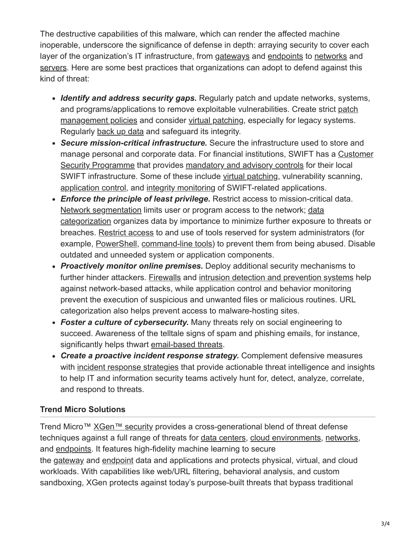The destructive capabilities of this malware, which can render the affected machine inoperable, underscore the significance of defense in depth: arraying security to cover each layer of the organization's IT infrastructure, from [gateways](https://blog.trendmicro.com/en_us/business/products/user-protection/sps.html) and [endpoints](https://blog.trendmicro.com/en_us/business/products/user-protection/sps/endpoint.html) to [networks](https://blog.trendmicro.com/en_us/business/products/network.html) and [servers](https://blog.trendmicro.com/en_us/business/products/hybrid-cloud/deep-security-data-center.html). Here are some best practices that organizations can adopt to defend against this kind of threat:

- *Identify and address security gaps.* Regularly patch and update networks, systems, [and programs/applications to remove exploitable vulnerabilities. Create strict patch](https://www.trendmicro.com/vinfo/tmr/?/us/security/news/vulnerabilities-and-exploits/patching-problems-and-how-to-solve-them) management policies and consider [virtual patching](https://blog.trendmicro.com/en_us/business/capabilities/intrusion-prevention.html?cm_re=10_19_17-_-2d_Capabilities-_-IntrusionPrevention), especially for legacy systems. Regularly [back up data](https://www.trendmicro.com/vinfo/tmr/?/us/security/news/virtualization-and-cloud/best-practices-backing-up-data) and safeguard its integrity.
- *Secure mission-critical infrastructure.* Secure the infrastructure used to store and [manage personal and corporate data. For financial institutions, SWIFT has a Customer](https://www.swift.com/myswift/customer-security-programme-csp/programme-description) Security Programme that provides [mandatory and advisory controls](https://www.swift.com/myswift/customer-security-programme-csp/security-controls) for their local SWIFT infrastructure. Some of these include [virtual patching,](https://blog.trendmicro.com/en_us/business/capabilities/intrusion-prevention.html?cm_re=10_19_17-_-2d_Capabilities-_-IntrusionPrevention) vulnerability scanning, [application control,](https://blog.trendmicro.com/en_us/business/capabilities/application-control-capability.html) and [integrity monitoring](https://blog.trendmicro.com/en_us/business/capabilities/integrity-monitoring.html) of SWIFT-related applications.
- *Enforce the principle of least privilege.* Restrict access to mission-critical data. [Network segmentatio](https://www.trendmicro.com/vinfo/tmr/?/us/security/news/cyber-attacks/protecting-data-through-network-segmentation)[n limits user or program access to the network; data](https://www.trendmicro.com/vinfo/tmr/?/us/security/news/cyber-attacks/keeping-digital-assets-safe-need-for-data-classification) categorization organizes data by importance to minimize further exposure to threats or breaches. [Restrict access](https://www.trendmicro.com/vinfo/tmr/?/us/security/news/cybercrime-and-digital-threats/best-practices-securing-sysadmin-tools) to and use of tools reserved for system administrators (for example, [PowerShell,](https://www.trendmicro.com/vinfo/tmr/?/us/security/news/security-technology/security-101-the-rise-of-fileless-threats-that-abuse-powershell) [command-line tools\)](https://www.trendmicro.com/vinfo/tmr/?/us/security/news/security-technology/2017-notably-abused-system-administration-tools-and-protocols) to prevent them from being abused. Disable outdated and unneeded system or application components.
- *Proactively monitor online premises.* Deploy additional security mechanisms to further hinder attackers. [Firewalls](https://www.trendmicro.com/vinfo/tmr/?/us/security/news/security-technology/best-practices-deploying-an-effective-firewall) and [intrusion detection and prevention systems](https://blog.trendmicro.com/en_us/business/products/network/intrusion-prevention.html) help against network-based attacks, while application control and behavior monitoring prevent the execution of suspicious and unwanted files or malicious routines. URL categorization also helps prevent access to malware-hosting sites.
- *Foster a culture of cybersecurity.* Many threats rely on social engineering to succeed. Awareness of the telltale signs of spam and phishing emails, for instance, significantly helps thwart [email-based threats.](https://www.trendmicro.com/vinfo/tmr/?/us/security/news/cybercrime-and-digital-threats/infosec-guide-email-threats)
- *Create a proactive incident response strategy.* Complement defensive measures with [incident response strategies](https://www.trendmicro.com/vinfo/tmr/?/us/security/definition/managed-detection-and-response) that provide actionable threat intelligence and insights to help IT and information security teams actively hunt for, detect, analyze, correlate, and respond to threats.

### **Trend Micro Solutions**

Trend Micro™ [XGen™ security](https://blog.trendmicro.com/en_us/business/products/all-solutions.html) provides a cross-generational blend of threat defense techniques against a full range of threats for [data centers,](https://blog.trendmicro.com/en_us/business/products/hybrid-cloud/deep-security.html) [cloud environments](https://blog.trendmicro.com/en_us/business/products/hybrid-cloud.html), [networks](https://blog.trendmicro.com/en_us/business/products/network.html), and [endpoints](https://blog.trendmicro.com/en_us/business/products/user-protection.html). It features high-fidelity machine learning to secure the [gateway](https://blog.trendmicro.com/en_us/business/products/user-protection/sps.html) and [endpoint](https://blog.trendmicro.com/en_us/business/products/user-protection/sps/endpoint.html) data and applications and protects physical, virtual, and cloud workloads. With capabilities like web/URL filtering, behavioral analysis, and custom sandboxing, XGen protects against today's purpose-built threats that bypass traditional